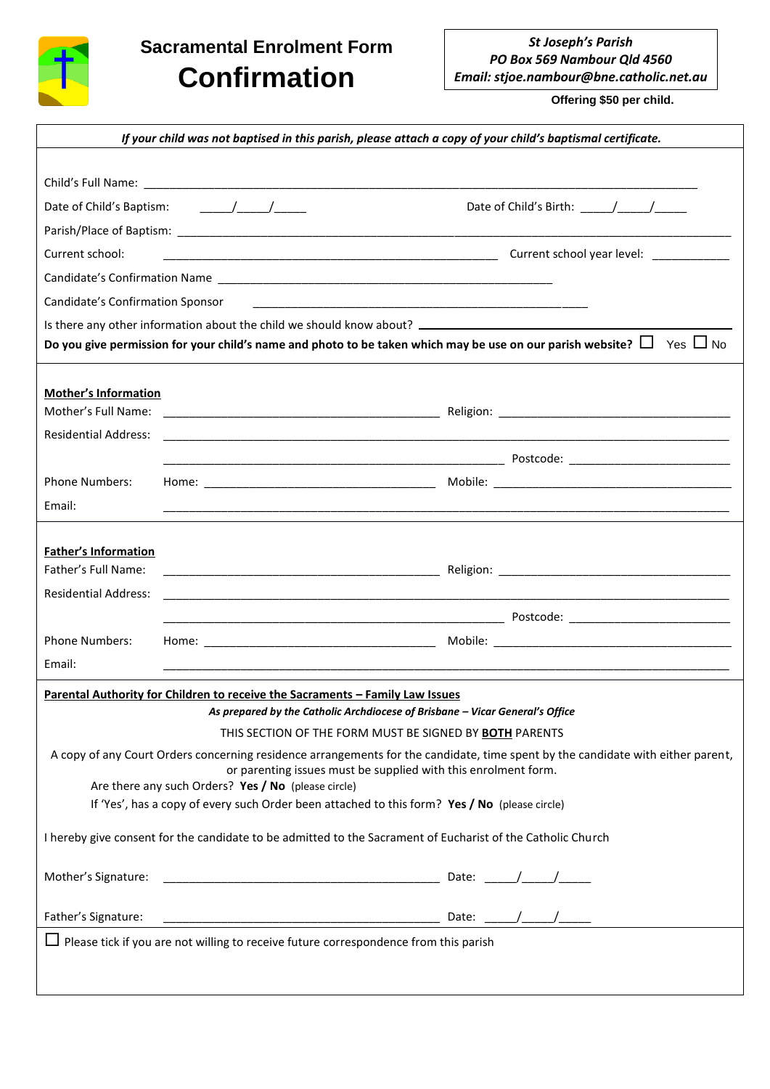

## **Sacramental Enrolment Form Confirmation**

*St Joseph's Parish PO Box 569 Nambour Qld 4560 Email: stjoe.nambour@bne.catholic.net.au*

 **Offering \$50 per child.**

| If your child was not baptised in this parish, please attach a copy of your child's baptismal certificate.                                                                                 |  |
|--------------------------------------------------------------------------------------------------------------------------------------------------------------------------------------------|--|
|                                                                                                                                                                                            |  |
|                                                                                                                                                                                            |  |
|                                                                                                                                                                                            |  |
|                                                                                                                                                                                            |  |
| Current school:                                                                                                                                                                            |  |
|                                                                                                                                                                                            |  |
| Candidate's Confirmation Sponsor                                                                                                                                                           |  |
|                                                                                                                                                                                            |  |
| Do you give permission for your child's name and photo to be taken which may be use on our parish website? $\Box$ Yes $\Box$ No                                                            |  |
|                                                                                                                                                                                            |  |
| <b>Mother's Information</b>                                                                                                                                                                |  |
|                                                                                                                                                                                            |  |
| <b>Residential Address:</b><br><u> 1989 - Johann Stoff, deutscher Stoff, der Stoff, der Stoff, der Stoff, der Stoff, der Stoff, der Stoff, der S</u>                                       |  |
|                                                                                                                                                                                            |  |
| <b>Phone Numbers:</b>                                                                                                                                                                      |  |
| Email:                                                                                                                                                                                     |  |
|                                                                                                                                                                                            |  |
| <b>Father's Information</b>                                                                                                                                                                |  |
| Father's Full Name:                                                                                                                                                                        |  |
| <b>Residential Address:</b><br><u> 1989 - Johann Stoff, deutscher Stoff, der Stoff, der Stoff, der Stoff, der Stoff, der Stoff, der Stoff, der S</u>                                       |  |
|                                                                                                                                                                                            |  |
| <b>Phone Numbers:</b>                                                                                                                                                                      |  |
| Email:                                                                                                                                                                                     |  |
| <b>Parental Authority for Children to receive the Sacraments - Family Law Issues</b>                                                                                                       |  |
| As prepared by the Catholic Archdiocese of Brisbane - Vicar General's Office                                                                                                               |  |
| THIS SECTION OF THE FORM MUST BE SIGNED BY BOTH PARENTS<br>A copy of any Court Orders concerning residence arrangements for the candidate, time spent by the candidate with either parent, |  |
| or parenting issues must be supplied with this enrolment form.                                                                                                                             |  |
| Are there any such Orders? Yes / No (please circle)                                                                                                                                        |  |
| If 'Yes', has a copy of every such Order been attached to this form? Yes / No (please circle)                                                                                              |  |
| I hereby give consent for the candidate to be admitted to the Sacrament of Eucharist of the Catholic Church                                                                                |  |
| Mother's Signature:                                                                                                                                                                        |  |
|                                                                                                                                                                                            |  |
| $\Box$ Please tick if you are not willing to receive future correspondence from this parish                                                                                                |  |
|                                                                                                                                                                                            |  |
|                                                                                                                                                                                            |  |